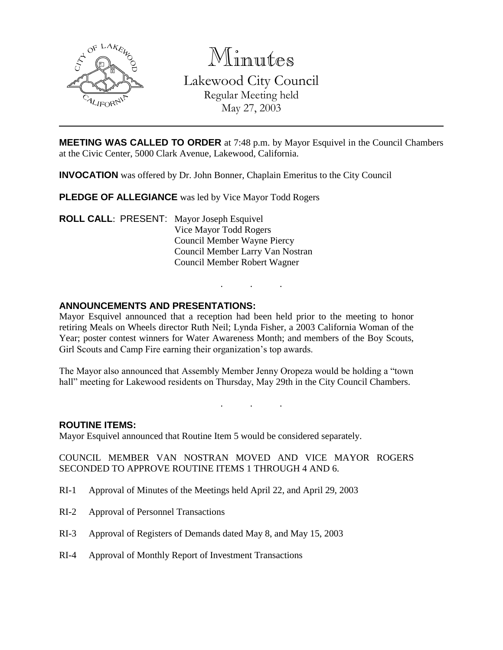

Minutes Lakewood City Council Regular Meeting held May 27, 2003

**MEETING WAS CALLED TO ORDER** at 7:48 p.m. by Mayor Esquivel in the Council Chambers at the Civic Center, 5000 Clark Avenue, Lakewood, California.

**INVOCATION** was offered by Dr. John Bonner, Chaplain Emeritus to the City Council

**PLEDGE OF ALLEGIANCE** was led by Vice Mayor Todd Rogers

**ROLL CALL**: PRESENT: Mayor Joseph Esquivel Vice Mayor Todd Rogers Council Member Wayne Piercy Council Member Larry Van Nostran Council Member Robert Wagner

### **ANNOUNCEMENTS AND PRESENTATIONS:**

Mayor Esquivel announced that a reception had been held prior to the meeting to honor retiring Meals on Wheels director Ruth Neil; Lynda Fisher, a 2003 California Woman of the Year; poster contest winners for Water Awareness Month; and members of the Boy Scouts, Girl Scouts and Camp Fire earning their organization's top awards.

. . .

The Mayor also announced that Assembly Member Jenny Oropeza would be holding a "town hall" meeting for Lakewood residents on Thursday, May 29th in the City Council Chambers.

. . .

#### **ROUTINE ITEMS:**

Mayor Esquivel announced that Routine Item 5 would be considered separately.

COUNCIL MEMBER VAN NOSTRAN MOVED AND VICE MAYOR ROGERS SECONDED TO APPROVE ROUTINE ITEMS 1 THROUGH 4 AND 6.

- RI-1 Approval of Minutes of the Meetings held April 22, and April 29, 2003
- RI-2 Approval of Personnel Transactions
- RI-3 Approval of Registers of Demands dated May 8, and May 15, 2003
- RI-4 Approval of Monthly Report of Investment Transactions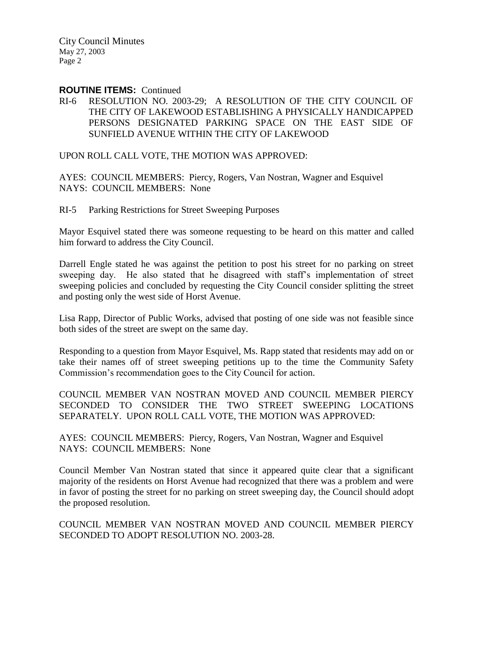City Council Minutes May 27, 2003 Page 2

#### **ROUTINE ITEMS:** Continued

RI-6 RESOLUTION NO. 2003-29; A RESOLUTION OF THE CITY COUNCIL OF THE CITY OF LAKEWOOD ESTABLISHING A PHYSICALLY HANDICAPPED PERSONS DESIGNATED PARKING SPACE ON THE EAST SIDE OF SUNFIELD AVENUE WITHIN THE CITY OF LAKEWOOD

UPON ROLL CALL VOTE, THE MOTION WAS APPROVED:

AYES: COUNCIL MEMBERS: Piercy, Rogers, Van Nostran, Wagner and Esquivel NAYS: COUNCIL MEMBERS: None

RI-5 Parking Restrictions for Street Sweeping Purposes

Mayor Esquivel stated there was someone requesting to be heard on this matter and called him forward to address the City Council.

Darrell Engle stated he was against the petition to post his street for no parking on street sweeping day. He also stated that he disagreed with staff's implementation of street sweeping policies and concluded by requesting the City Council consider splitting the street and posting only the west side of Horst Avenue.

Lisa Rapp, Director of Public Works, advised that posting of one side was not feasible since both sides of the street are swept on the same day.

Responding to a question from Mayor Esquivel, Ms. Rapp stated that residents may add on or take their names off of street sweeping petitions up to the time the Community Safety Commission's recommendation goes to the City Council for action.

COUNCIL MEMBER VAN NOSTRAN MOVED AND COUNCIL MEMBER PIERCY SECONDED TO CONSIDER THE TWO STREET SWEEPING LOCATIONS SEPARATELY. UPON ROLL CALL VOTE, THE MOTION WAS APPROVED:

AYES: COUNCIL MEMBERS: Piercy, Rogers, Van Nostran, Wagner and Esquivel NAYS: COUNCIL MEMBERS: None

Council Member Van Nostran stated that since it appeared quite clear that a significant majority of the residents on Horst Avenue had recognized that there was a problem and were in favor of posting the street for no parking on street sweeping day, the Council should adopt the proposed resolution.

COUNCIL MEMBER VAN NOSTRAN MOVED AND COUNCIL MEMBER PIERCY SECONDED TO ADOPT RESOLUTION NO. 2003-28.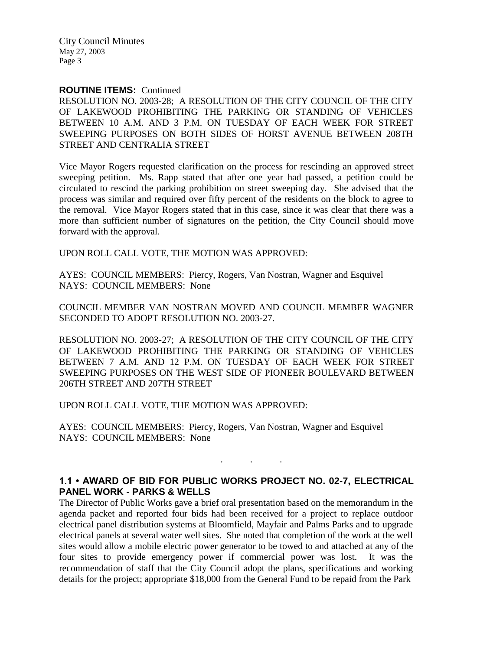City Council Minutes May 27, 2003 Page 3

#### **ROUTINE ITEMS:** Continued

RESOLUTION NO. 2003-28; A RESOLUTION OF THE CITY COUNCIL OF THE CITY OF LAKEWOOD PROHIBITING THE PARKING OR STANDING OF VEHICLES BETWEEN 10 A.M. AND 3 P.M. ON TUESDAY OF EACH WEEK FOR STREET SWEEPING PURPOSES ON BOTH SIDES OF HORST AVENUE BETWEEN 208TH STREET AND CENTRALIA STREET

Vice Mayor Rogers requested clarification on the process for rescinding an approved street sweeping petition. Ms. Rapp stated that after one year had passed, a petition could be circulated to rescind the parking prohibition on street sweeping day. She advised that the process was similar and required over fifty percent of the residents on the block to agree to the removal. Vice Mayor Rogers stated that in this case, since it was clear that there was a more than sufficient number of signatures on the petition, the City Council should move forward with the approval.

UPON ROLL CALL VOTE, THE MOTION WAS APPROVED:

AYES: COUNCIL MEMBERS: Piercy, Rogers, Van Nostran, Wagner and Esquivel NAYS: COUNCIL MEMBERS: None

COUNCIL MEMBER VAN NOSTRAN MOVED AND COUNCIL MEMBER WAGNER SECONDED TO ADOPT RESOLUTION NO. 2003-27.

RESOLUTION NO. 2003-27; A RESOLUTION OF THE CITY COUNCIL OF THE CITY OF LAKEWOOD PROHIBITING THE PARKING OR STANDING OF VEHICLES BETWEEN 7 A.M. AND 12 P.M. ON TUESDAY OF EACH WEEK FOR STREET SWEEPING PURPOSES ON THE WEST SIDE OF PIONEER BOULEVARD BETWEEN 206TH STREET AND 207TH STREET

UPON ROLL CALL VOTE, THE MOTION WAS APPROVED:

AYES: COUNCIL MEMBERS: Piercy, Rogers, Van Nostran, Wagner and Esquivel NAYS: COUNCIL MEMBERS: None

# **1.1 • AWARD OF BID FOR PUBLIC WORKS PROJECT NO. 02-7, ELECTRICAL PANEL WORK - PARKS & WELLS**

. . .

The Director of Public Works gave a brief oral presentation based on the memorandum in the agenda packet and reported four bids had been received for a project to replace outdoor electrical panel distribution systems at Bloomfield, Mayfair and Palms Parks and to upgrade electrical panels at several water well sites. She noted that completion of the work at the well sites would allow a mobile electric power generator to be towed to and attached at any of the four sites to provide emergency power if commercial power was lost. It was the recommendation of staff that the City Council adopt the plans, specifications and working details for the project; appropriate \$18,000 from the General Fund to be repaid from the Park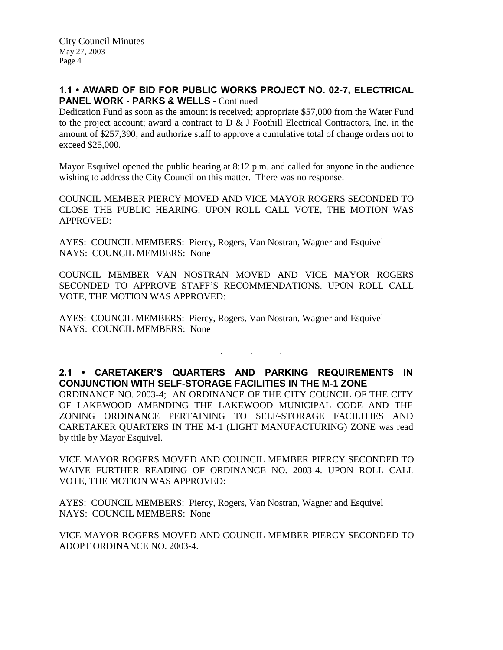# **1.1 • AWARD OF BID FOR PUBLIC WORKS PROJECT NO. 02-7, ELECTRICAL PANEL WORK - PARKS & WELLS** - Continued

Dedication Fund as soon as the amount is received; appropriate \$57,000 from the Water Fund to the project account; award a contract to  $D \& J$  Foothill Electrical Contractors, Inc. in the amount of \$257,390; and authorize staff to approve a cumulative total of change orders not to exceed \$25,000.

Mayor Esquivel opened the public hearing at 8:12 p.m. and called for anyone in the audience wishing to address the City Council on this matter. There was no response.

COUNCIL MEMBER PIERCY MOVED AND VICE MAYOR ROGERS SECONDED TO CLOSE THE PUBLIC HEARING. UPON ROLL CALL VOTE, THE MOTION WAS APPROVED:

AYES: COUNCIL MEMBERS: Piercy, Rogers, Van Nostran, Wagner and Esquivel NAYS: COUNCIL MEMBERS: None

COUNCIL MEMBER VAN NOSTRAN MOVED AND VICE MAYOR ROGERS SECONDED TO APPROVE STAFF'S RECOMMENDATIONS. UPON ROLL CALL VOTE, THE MOTION WAS APPROVED:

AYES: COUNCIL MEMBERS: Piercy, Rogers, Van Nostran, Wagner and Esquivel NAYS: COUNCIL MEMBERS: None

## **2.1 • CARETAKER'S QUARTERS AND PARKING REQUIREMENTS IN CONJUNCTION WITH SELF-STORAGE FACILITIES IN THE M-1 ZONE**

. . .

ORDINANCE NO. 2003-4; AN ORDINANCE OF THE CITY COUNCIL OF THE CITY OF LAKEWOOD AMENDING THE LAKEWOOD MUNICIPAL CODE AND THE ZONING ORDINANCE PERTAINING TO SELF-STORAGE FACILITIES AND CARETAKER QUARTERS IN THE M-1 (LIGHT MANUFACTURING) ZONE was read by title by Mayor Esquivel.

VICE MAYOR ROGERS MOVED AND COUNCIL MEMBER PIERCY SECONDED TO WAIVE FURTHER READING OF ORDINANCE NO. 2003-4. UPON ROLL CALL VOTE, THE MOTION WAS APPROVED:

AYES: COUNCIL MEMBERS: Piercy, Rogers, Van Nostran, Wagner and Esquivel NAYS: COUNCIL MEMBERS: None

VICE MAYOR ROGERS MOVED AND COUNCIL MEMBER PIERCY SECONDED TO ADOPT ORDINANCE NO. 2003-4.